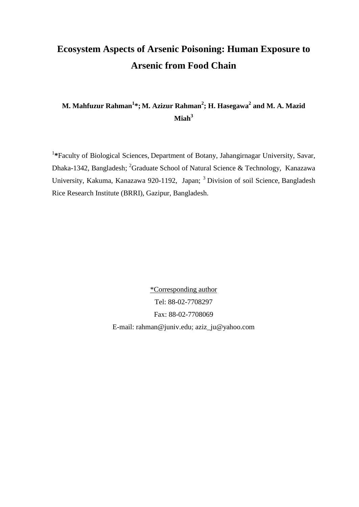# **Ecosystem Aspects of Arsenic Poisoning: Human Exposure to Arsenic from Food Chain**

# **M. Mahfuzur Rahman<sup>1</sup> \*; M. Azizur Rahman<sup>2</sup> ; H. Hasegawa2 and M. A. Mazid Miah<sup>3</sup>**

<sup>1</sup>\*Faculty of Biological Sciences, Department of Botany, Jahangirnagar University, Savar, Dhaka-1342, Bangladesh; <sup>2</sup>Graduate School of Natural Science & Technology, Kanazawa University, Kakuma, Kanazawa 920-1192, Japan; 3 Division of soil Science, Bangladesh Rice Research Institute (BRRI), Gazipur, Bangladesh.

> \*Corresponding author Tel: 88-02-7708297 Fax: 88-02-7708069 E-mail: [rahman@juniv.edu;](mailto:rahman@juniv.edu) aziz\_ju@yahoo.com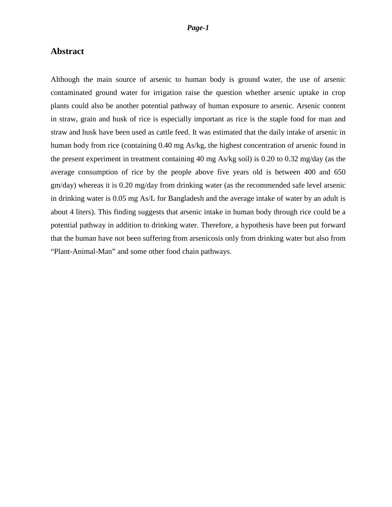# **Abstract**

Although the main source of arsenic to human body is ground water, the use of arsenic contaminated ground water for irrigation raise the question whether arsenic uptake in crop plants could also be another potential pathway of human exposure to arsenic. Arsenic content in straw, grain and husk of rice is especially important as rice is the staple food for man and straw and husk have been used as cattle feed. It was estimated that the daily intake of arsenic in human body from rice (containing 0.40 mg As/kg, the highest concentration of arsenic found in the present experiment in treatment containing 40 mg As/kg soil) is 0.20 to 0.32 mg/day (as the average consumption of rice by the people above five years old is between 400 and 650 gm/day) whereas it is 0.20 mg/day from drinking water (as the recommended safe level arsenic in drinking water is 0.05 mg As/L for Bangladesh and the average intake of water by an adult is about 4 liters). This finding suggests that arsenic intake in human body through rice could be a potential pathway in addition to drinking water. Therefore, a hypothesis have been put forward that the human have not been suffering from arsenicosis only from drinking water but also from "Plant-Animal-Man" and some other food chain pathways.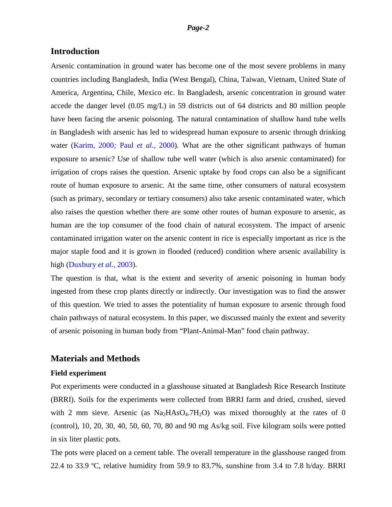## **Introduction**

Arsenic contamination in ground water has become one of the most severe problems in many countries including Bangladesh, India (West Bengal), China, Taiwan, Vietnam, United State of America, Argentina, Chile, Mexico etc. In Bangladesh, arsenic concentration in ground water accede the danger level (0.05 mg/L) in 59 districts out of 64 districts and 80 million people have been facing the arsenic poisoning. The natural contamination of shallow hand tube wells in Bangladesh with arsenic has led to widespread human exposure to arsenic through drinking water (Karim, 2000*;* Paul *et al.,* 2000). What are the other significant pathways of human exposure to arsenic? Use of shallow tube well water (which is also arsenic contaminated) for irrigation of crops raises the question. Arsenic uptake by food crops can also be a significant route of human exposure to arsenic. At the same time, other consumers of natural ecosystem (such as primary, secondary or tertiary consumers) also take arsenic contaminated water, which also raises the question whether there are some other routes of human exposure to arsenic, as human are the top consumer of the food chain of natural ecosystem. The impact of arsenic contaminated irrigation water on the arsenic content in rice is especially important as rice is the major staple food and it is grown in flooded (reduced) condition where arsenic availability is high (Duxbury *et al.*, 2003).

The question is that, what is the extent and severity of arsenic poisoning in human body ingested from these crop plants directly or indirectly. Our investigation was to find the answer of this question. We tried to asses the potentiality of human exposure to arsenic through food chain pathways of natural ecosystem. In this paper, we discussed mainly the extent and severity of arsenic poisoning in human body from "Plant-Animal-Man" food chain pathway.

# **Materials and Methods**

#### **Field experiment**

Pot experiments were conducted in a glasshouse situated at Bangladesh Rice Research Institute (BRRI). Soils for the experiments were collected from BRRI farm and dried, crushed, sieved with 2 mm sieve. Arsenic (as  $Na<sub>2</sub>HAsO<sub>4</sub>·7H<sub>2</sub>O$ ) was mixed thoroughly at the rates of 0 (control), 10, 20, 30, 40, 50, 60, 70, 80 and 90 mg As/kg soil. Five kilogram soils were potted in six liter plastic pots.

The pots were placed on a cement table. The overall temperature in the glasshouse ranged from 22.4 to 33.9 ºC, relative humidity from 59.9 to 83.7%, sunshine from 3.4 to 7.8 h/day. BRRI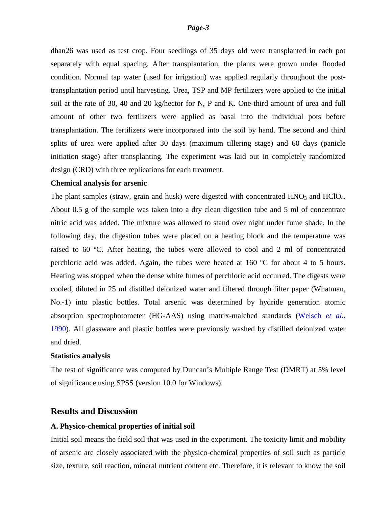dhan26 was used as test crop. Four seedlings of 35 days old were transplanted in each pot separately with equal spacing. After transplantation, the plants were grown under flooded condition. Normal tap water (used for irrigation) was applied regularly throughout the posttransplantation period until harvesting. Urea, TSP and MP fertilizers were applied to the initial soil at the rate of 30, 40 and 20 kg/hector for N, P and K. One-third amount of urea and full amount of other two fertilizers were applied as basal into the individual pots before transplantation. The fertilizers were incorporated into the soil by hand. The second and third splits of urea were applied after 30 days (maximum tillering stage) and 60 days (panicle initiation stage) after transplanting. The experiment was laid out in completely randomized design (CRD) with three replications for each treatment.

#### **Chemical analysis for arsenic**

The plant samples (straw, grain and husk) were digested with concentrated  $HNO<sub>3</sub>$  and  $HClO<sub>4</sub>$ . About 0.5 g of the sample was taken into a dry clean digestion tube and 5 ml of concentrate nitric acid was added. The mixture was allowed to stand over night under fume shade. In the following day, the digestion tubes were placed on a heating block and the temperature was raised to 60 ºC. After heating, the tubes were allowed to cool and 2 ml of concentrated perchloric acid was added. Again, the tubes were heated at 160 ºC for about 4 to 5 hours. Heating was stopped when the dense white fumes of perchloric acid occurred. The digests were cooled, diluted in 25 ml distilled deionized water and filtered through filter paper (Whatman, No.-1) into plastic bottles. Total arsenic was determined by hydride generation atomic absorption spectrophotometer (HG-AAS) using matrix-malched standards (Welsch *et al.*, 1990). All glassware and plastic bottles were previously washed by distilled deionized water and dried.

#### **Statistics analysis**

The test of significance was computed by Duncan's Multiple Range Test (DMRT) at 5% level of significance using SPSS (version 10.0 for Windows).

# **Results and Discussion**

#### **A. Physico-chemical properties of initial soil**

Initial soil means the field soil that was used in the experiment. The toxicity limit and mobility of arsenic are closely associated with the physico-chemical properties of soil such as particle size, texture, soil reaction, mineral nutrient content etc. Therefore, it is relevant to know the soil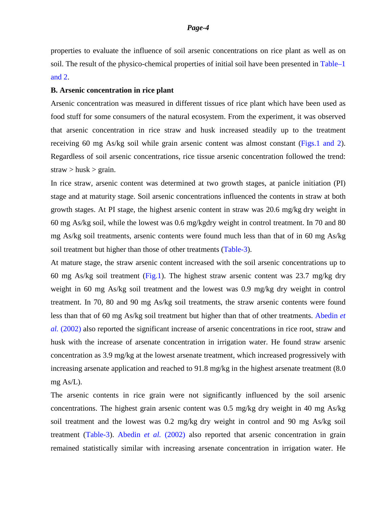properties to evaluate the influence of soil arsenic concentrations on rice plant as well as on soil. The result of the physico-chemical properties of initial soil have been presented in Table–1 and 2.

#### **B. Arsenic concentration in rice plant**

Arsenic concentration was measured in different tissues of rice plant which have been used as food stuff for some consumers of the natural ecosystem. From the experiment, it was observed that arsenic concentration in rice straw and husk increased steadily up to the treatment receiving 60 mg As/kg soil while grain arsenic content was almost constant (Figs.1 and 2). Regardless of soil arsenic concentrations, rice tissue arsenic concentration followed the trend:  $straw > \text{husk} > \text{grain}.$ 

In rice straw, arsenic content was determined at two growth stages, at panicle initiation (PI) stage and at maturity stage. Soil arsenic concentrations influenced the contents in straw at both growth stages. At PI stage, the highest arsenic content in straw was 20.6 mg/kg dry weight in 60 mg As/kg soil, while the lowest was 0.6 mg/kgdry weight in control treatment. In 70 and 80 mg As/kg soil treatments, arsenic contents were found much less than that of in 60 mg As/kg soil treatment but higher than those of other treatments (Table-3).

At mature stage, the straw arsenic content increased with the soil arsenic concentrations up to 60 mg As/kg soil treatment (Fig.1). The highest straw arsenic content was 23.7 mg/kg dry weight in 60 mg As/kg soil treatment and the lowest was 0.9 mg/kg dry weight in control treatment. In 70, 80 and 90 mg As/kg soil treatments, the straw arsenic contents were found less than that of 60 mg As/kg soil treatment but higher than that of other treatments. Abedin *et al.* (2002) also reported the significant increase of arsenic concentrations in rice root, straw and husk with the increase of arsenate concentration in irrigation water. He found straw arsenic concentration as 3.9 mg/kg at the lowest arsenate treatment, which increased progressively with increasing arsenate application and reached to 91.8 mg/kg in the highest arsenate treatment (8.0 mg As/L).

The arsenic contents in rice grain were not significantly influenced by the soil arsenic concentrations. The highest grain arsenic content was 0.5 mg/kg dry weight in 40 mg As/kg soil treatment and the lowest was 0.2 mg/kg dry weight in control and 90 mg As/kg soil treatment (Table-3). Abedin *et al.* (2002) also reported that arsenic concentration in grain remained statistically similar with increasing arsenate concentration in irrigation water. He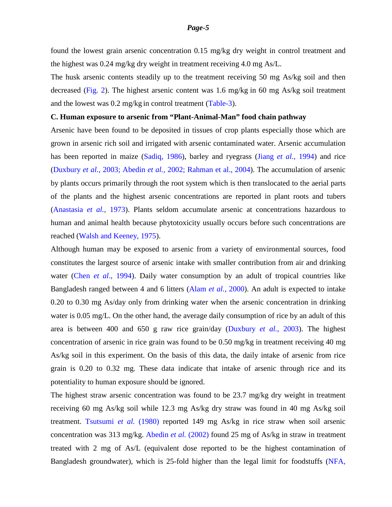found the lowest grain arsenic concentration 0.15 mg/kg dry weight in control treatment and the highest was 0.24 mg/kg dry weight in treatment receiving 4.0 mg As/L.

The husk arsenic contents steadily up to the treatment receiving 50 mg As/kg soil and then decreased (Fig. 2). The highest arsenic content was 1.6 mg/kg in 60 mg As/kg soil treatment and the lowest was 0.2 mg/kg in control treatment (Table-3).

#### **C. Human exposure to arsenic from "Plant-Animal-Man" food chain pathway**

Arsenic have been found to be deposited in tissues of crop plants especially those which are grown in arsenic rich soil and irrigated with arsenic contaminated water. Arsenic accumulation has been reported in maize (Sadiq, 1986), barley and ryegrass (Jiang *et al.*, 1994) and rice (Duxbury *et al.*, 2003; Abedin *et al.,* 2002; Rahman et al., 2004). The accumulation of arsenic by plants occurs primarily through the root system which is then translocated to the aerial parts of the plants and the highest arsenic concentrations are reported in plant roots and tubers (Anastasia *et al.*, 1973). Plants seldom accumulate arsenic at concentrations hazardous to human and animal health because phytotoxicity usually occurs before such concentrations are reached (Walsh and Keeney, 1975).

Although human may be exposed to arsenic from a variety of environmental sources, food constitutes the largest source of arsenic intake with smaller contribution from air and drinking water (Chen *et al*., 1994). Daily water consumption by an adult of tropical countries like Bangladesh ranged between 4 and 6 litters (Alam *et al.*, 2000). An adult is expected to intake 0.20 to 0.30 mg As/day only from drinking water when the arsenic concentration in drinking water is 0.05 mg/L. On the other hand, the average daily consumption of rice by an adult of this area is between 400 and 650 g raw rice grain/day (Duxbury *et al.*, 2003). The highest concentration of arsenic in rice grain was found to be 0.50 mg/kg in treatment receiving 40 mg As/kg soil in this experiment. On the basis of this data, the daily intake of arsenic from rice grain is 0.20 to 0.32 mg. These data indicate that intake of arsenic through rice and its potentiality to human exposure should be ignored.

The highest straw arsenic concentration was found to be 23.7 mg/kg dry weight in treatment receiving 60 mg As/kg soil while 12.3 mg As/kg dry straw was found in 40 mg As/kg soil treatment. Tsutsumi *et al.* (1980) reported 149 mg As/kg in rice straw when soil arsenic concentration was 313 mg/kg. Abedin *et al.* (2002) found 25 mg of As/kg in straw in treatment treated with 2 mg of As/L (equivalent dose reported to be the highest contamination of Bangladesh groundwater), which is 25-fold higher than the legal limit for foodstuffs (NFA,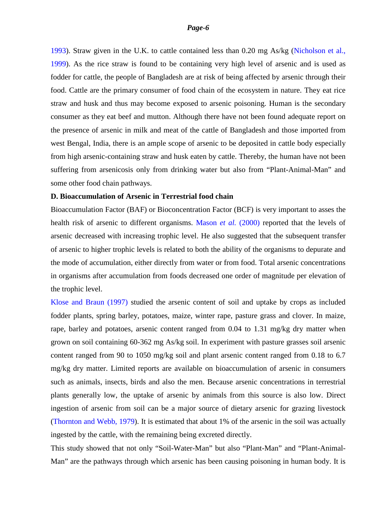1993). Straw given in the U.K. to cattle contained less than 0.20 mg As/kg (Nicholson et al., 1999). As the rice straw is found to be containing very high level of arsenic and is used as fodder for cattle, the people of Bangladesh are at risk of being affected by arsenic through their food. Cattle are the primary consumer of food chain of the ecosystem in nature. They eat rice straw and husk and thus may become exposed to arsenic poisoning. Human is the secondary consumer as they eat beef and mutton. Although there have not been found adequate report on the presence of arsenic in milk and meat of the cattle of Bangladesh and those imported from west Bengal, India, there is an ample scope of arsenic to be deposited in cattle body especially from high arsenic-containing straw and husk eaten by cattle. Thereby, the human have not been suffering from arsenicosis only from drinking water but also from "Plant-Animal-Man" and some other food chain pathways.

#### **D. Bioaccumulation of Arsenic in Terrestrial food chain**

Bioaccumulation Factor (BAF) or Bioconcentration Factor (BCF) is very important to asses the health risk of arsenic to different organisms. Mason *et al.* (2000) reported that the levels of arsenic decreased with increasing trophic level. He also suggested that the subsequent transfer of arsenic to higher trophic levels is related to both the ability of the organisms to depurate and the mode of accumulation, either directly from water or from food. Total arsenic concentrations in organisms after accumulation from foods decreased one order of magnitude per elevation of the trophic level.

Klose and Braun (1997) studied the arsenic content of soil and uptake by crops as included fodder plants, spring barley, potatoes, maize, winter rape, pasture grass and clover. In maize, rape, barley and potatoes, arsenic content ranged from 0.04 to 1.31 mg/kg dry matter when grown on soil containing 60-362 mg As/kg soil. In experiment with pasture grasses soil arsenic content ranged from 90 to 1050 mg/kg soil and plant arsenic content ranged from 0.18 to 6.7 mg/kg dry matter. Limited reports are available on bioaccumulation of arsenic in consumers such as animals, insects, birds and also the men. Because arsenic concentrations in terrestrial plants generally low, the uptake of arsenic by animals from this source is also low. Direct ingestion of arsenic from soil can be a major source of dietary arsenic for grazing livestock (Thornton and Webb, 1979). It is estimated that about 1% of the arsenic in the soil was actually ingested by the cattle, with the remaining being excreted directly.

This study showed that not only "Soil-Water-Man" but also "Plant-Man" and "Plant-Animal-Man" are the pathways through which arsenic has been causing poisoning in human body. It is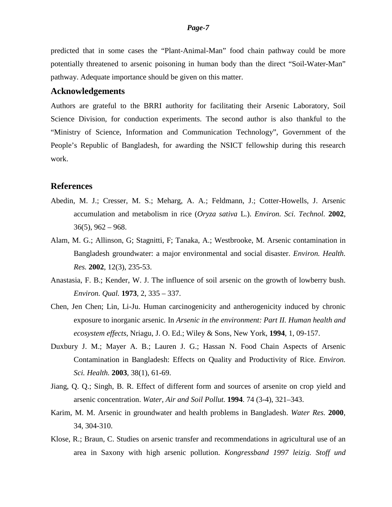predicted that in some cases the "Plant-Animal-Man" food chain pathway could be more potentially threatened to arsenic poisoning in human body than the direct "Soil-Water-Man" pathway. Adequate importance should be given on this matter.

## **Acknowledgements**

Authors are grateful to the BRRI authority for facilitating their Arsenic Laboratory, Soil Science Division, for conduction experiments. The second author is also thankful to the "Ministry of Science, Information and Communication Technology", Government of the People's Republic of Bangladesh, for awarding the NSICT fellowship during this research work.

#### **References**

- Abedin, M. J.; Cresser, M. S.; Meharg, A. A.; Feldmann, J.; Cotter-Howells, J. Arsenic accumulation and metabolism in rice (*Oryza sativa* L.). *Environ. Sci. Technol.* **2002**,  $36(5)$ ,  $962 - 968$ .
- [Alam, M. G.](http://www.ncbi.nlm.nih.gov/entrez/query.fcgi?db=pubmed&cmd=Search&term=%22Alam+MG%22%5BAuthor%5D); [Allinson, G;](http://www.ncbi.nlm.nih.gov/entrez/query.fcgi?db=pubmed&cmd=Search&term=%22Allinson+G%22%5BAuthor%5D) [Stagnitti, F;](http://www.ncbi.nlm.nih.gov/entrez/query.fcgi?db=pubmed&cmd=Search&term=%22Stagnitti+F%22%5BAuthor%5D) [Tanaka, A.](http://www.ncbi.nlm.nih.gov/entrez/query.fcgi?db=pubmed&cmd=Search&term=%22Tanaka+A%22%5BAuthor%5D); [Westbrooke, M.](http://www.ncbi.nlm.nih.gov/entrez/query.fcgi?db=pubmed&cmd=Search&term=%22Westbrooke+M%22%5BAuthor%5D) Arsenic contamination in Bangladesh groundwater: a major environmental and social disaster. *[Environ. Health.](javascript:AL_get(this,%20)  [Res.](javascript:AL_get(this,%20)* **2002**, 12(3), 235-53.
- Anastasia, F. B.; Kender, W. J. The influence of soil arsenic on the growth of lowberry bush. *Environ. Qual.* **1973**, 2, 335 – 337.
- Chen, Jen Chen; Lin, Li-Ju. Human carcinogenicity and antherogenicity induced by chronic exposure to inorganic arsenic*.* In *Arsenic in the environment: Part II. Human health and ecosystem effects*, Nriagu, J. O. Ed.; Wiley & Sons, New York, **1994**, 1, 09-157.
- Duxbury J. M.; Mayer A. B.; Lauren J. G.; Hassan N. Food Chain Aspects of Arsenic Contamination in Bangladesh: Effects on Quality and Productivity of Rice. *Environ. Sci. Health.* **2003**, 38(1), 61-69.
- Jiang, Q. Q.; Singh, B. R. Effect of different form and sources of arsenite on crop yield and arsenic concentration. *Water, Air and Soil Pollut.* **1994**. 74 (3-4), 321–343.
- Karim, M. M. Arsenic in groundwater and health problems in Bangladesh. *Water Res.* **2000**, 34, 304-310.
- Klose, R.; Braun, C. Studies on arsenic transfer and recommendations in agricultural use of an area in Saxony with high arsenic pollution. *Kongressband 1997 leizig. Stoff und*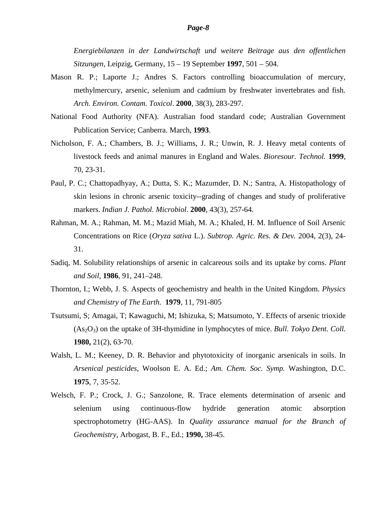*Energiebilanzen in der Landwirtschaft und weitere Beitrage aus den offentlichen Sitzungen*, Leipzig, Germany, 15 – 19 September **1997**, 501 – 504.

- Mason R. P.; Laporte J.; Andres S. Factors controlling bioaccumulation of mercury, methylmercury, arsenic, selenium and cadmium by freshwater invertebrates and fish. *Arch. Environ. Contam. Toxicol*. **2000**, 38(3), 283-297.
- National Food Authority (NFA). Australian food standard code; Australian Government Publication Service; Canberra. March, **1993**.
- Nicholson, F. A.; Chambers, B. J.; Williams, J. R.; Unwin, R. J. Heavy metal contents of livestock feeds and animal manures in England and Wales. *Bioresour. Technol.* **1999**, 70, 23-31.
- Paul, P. C.; Chattopadhyay, A.; Dutta, S. K.; Mazumder, D. N.; Santra, A. [Histopathology of](http://www.scirus.com/srsapp/sciruslink?src=mdl&url=http%3A%2F%2Fwww.ncbi.nlm.nih.gov%2Fentrez%2Fquery.fcgi%3Fcmd%3DRetrieve%26db%3Dpubmed%26dopt%3DAbstract%26list_uids%3D%3D11218669)  [skin lesions in chronic arsenic toxicity--grading of changes and study of proliferative](http://www.scirus.com/srsapp/sciruslink?src=mdl&url=http%3A%2F%2Fwww.ncbi.nlm.nih.gov%2Fentrez%2Fquery.fcgi%3Fcmd%3DRetrieve%26db%3Dpubmed%26dopt%3DAbstract%26list_uids%3D%3D11218669)  [markers.](http://www.scirus.com/srsapp/sciruslink?src=mdl&url=http%3A%2F%2Fwww.ncbi.nlm.nih.gov%2Fentrez%2Fquery.fcgi%3Fcmd%3DRetrieve%26db%3Dpubmed%26dopt%3DAbstract%26list_uids%3D%3D11218669) *Indian J. Pathol. Microbiol*. **2000**, 43(3), 257-64.
- Rahman, M. A.; Rahman, M. M.; Mazid Miah, M. A.; Khaled, H. M. Influence of Soil Arsenic Concentrations on Rice (*Oryza sativa* L.). *Subtrop. Agric. Res. & Dev.* 2004, 2(3), 24- 31.
- Sadiq, M. Solubility relationships of arsenic in calcareous soils and its uptake by corns. *Plant and Soil,* **1986**, 91, 241–248.
- Thornton, I.; Webb, J. S. Aspects of geochemistry and health in the United Kingdom. *[Physics](http://www.sciencedirect.com/science?_ob=JournalURL&_cdi=5837&_auth=y&_acct=C000050560&_version=1&_urlVersion=0&_userid=1029198&md5=60eccc1ac5052df482b0989a3d55551e)  [and Chemistry of The Earth.](http://www.sciencedirect.com/science?_ob=JournalURL&_cdi=5837&_auth=y&_acct=C000050560&_version=1&_urlVersion=0&_userid=1029198&md5=60eccc1ac5052df482b0989a3d55551e)* **1979**, 11, 791-805
- [Tsutsumi, S;](http://www.ncbi.nlm.nih.gov/entrez/query.fcgi?db=pubmed&cmd=Search&term=%22Tsutsumi+S%22%5BAuthor%5D) [Amagai, T;](http://www.ncbi.nlm.nih.gov/entrez/query.fcgi?db=pubmed&cmd=Search&term=%22Amagai+T%22%5BAuthor%5D) [Kawaguchi, M;](http://www.ncbi.nlm.nih.gov/entrez/query.fcgi?db=pubmed&cmd=Search&term=%22Kawaguchi+M%22%5BAuthor%5D) [Ishizuka, S;](http://www.ncbi.nlm.nih.gov/entrez/query.fcgi?db=pubmed&cmd=Search&term=%22Ishizuka+S%22%5BAuthor%5D) [Matsumoto, Y.](http://www.ncbi.nlm.nih.gov/entrez/query.fcgi?db=pubmed&cmd=Search&term=%22Matsumoto+Y%22%5BAuthor%5D) Effects of arsenic trioxide (As2O3) on the uptake of 3H-thymidine in lymphocytes of mice. *[Bull. Tokyo Dent. Coll.](javascript:AL_get(this,%20)* **1980,** 21(2), 63-70.
- Walsh, L. M.; Keeney, D. R. Behavior and phytotoxicity of inorganic arsenicals in soils. In *Arsenical pesticides*, Woolson E. A. Ed.; *Am. Chem. Soc. Symp.* Washington, D.C. **1975**, 7, 35-52.
- Welsch, F. P.; Crock, J. G.; Sanzolone, R. Trace elements determination of arsenic and selenium using continuous-flow hydride generation atomic absorption spectrophotometry (HG-AAS). In *Quality assurance manual for the Branch of Geochemistry*, Arbogast, B. F., Ed.; **1990,** 38-45.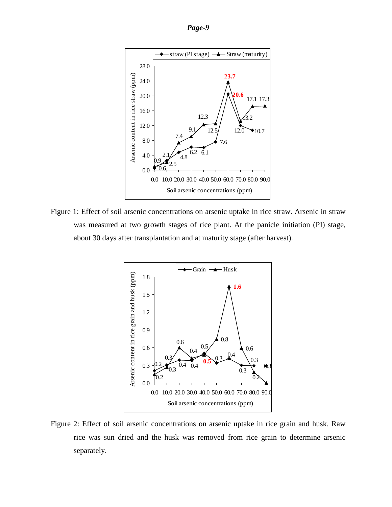



Figure 1: Effect of soil arsenic concentrations on arsenic uptake in rice straw. Arsenic in straw was measured at two growth stages of rice plant. At the panicle initiation (PI) stage, about 30 days after transplantation and at maturity stage (after harvest).



Figure 2: Effect of soil arsenic concentrations on arsenic uptake in rice grain and husk. Raw rice was sun dried and the husk was removed from rice grain to determine arsenic separately.